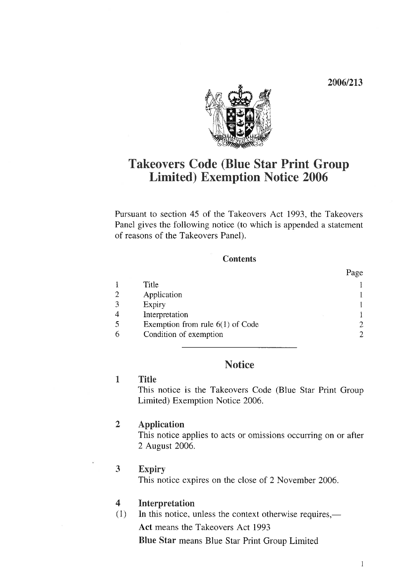2006/213



# Takeovers Code (Blue Star Print Group Limited) Exemption Notice 2006

Pursuant to section 45 of the Takeovers Act 1993, the Takeovers Panel gives the following notice (to which is appended a statement of reasons of the Takeovers Panel).

#### **Contents**

|                |                                    | Page |
|----------------|------------------------------------|------|
|                | Title                              |      |
| $\overline{2}$ | Application                        |      |
| $\overline{3}$ | Expiry                             |      |
| 4              | Interpretation                     |      |
| 5              | Exemption from rule $6(1)$ of Code |      |
| 6              | Condition of exemption             |      |

# **Notice**

### 1 Title

This notice is the Takeovers Code (Blue Star Print Group Limited) Exemption Notice 2006.

## 2 Application

This notice applies to acts or omissions occurring on or after 2 August 2006.

### 3 Expiry

This notice expires on the close of 2 November 2006.

### 4 Interpretation

 $(1)$  In this notice, unless the context otherwise requires,—

Act means the Takeovers Act 1993

Blue Star means Blue Star Print Group Limited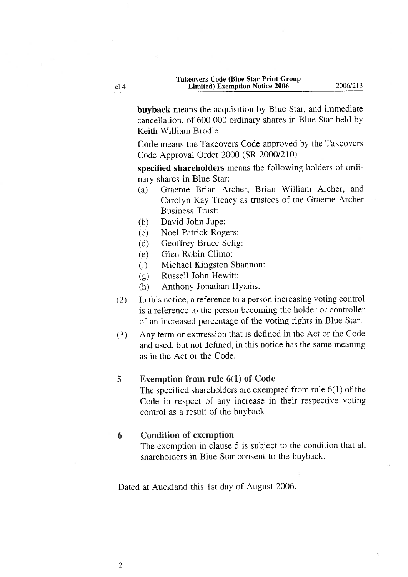buyback means the acquisition by Blue Star, and immediate cancellation, of 600 000 ordinary shares in Blue Star held by Keith William Brodie

Code means the Takeovers Code approved by the Takeovers Code Approval Order 2000 (SR 2000/210)

specified shareholders means the following holders of ordinary shares in Blue Star:

- (a) Graeme Brian Archer, Brian William Archer, and Carolyn Kay Treacy as trustees of the Graeme Archer Business Trust:
- (b) David John Jupe:
- (c) Noel Patrick Rogers:
- (d) Geoffrey Bruce Selig:
- (e) Glen Robin Climo:
- (f) Michael Kingston Shannon:
- (g) Russell John Hewitt:
- (h) Anthony Jonathan Hyams.
- (2) In this notice, a reference to a person increasing voting control is a reference to the person becoming the holder or controller of an increased percentage of the voting rights in Blue Star.
- (3) Any term or expression that is defined in the Act or the Code and used, but not defined, in this notice has the same meaning as in the Act or the Code.

#### 5 Exemption from rule 6(1) of Code

The specified shareholders are exempted from rule 6(1) of the Code in respect of any increase in their respective voting control as a result of the buyback.

#### 6 Condition of exemption

The exemption in clause 5 is subject to the condition that all shareholders in Blue Star consent to the buyback.

Dated at Auckland this 1st day of August 2006.

cl<sub>4</sub>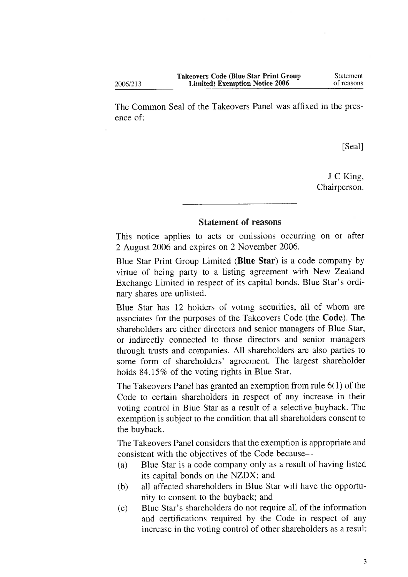2006/213

The Common Seal of the Takeovers Panel was affixed in the presence of-

[Seal]

J C King, Chairperson.

### Statement of reasons

This notice applies to acts or omissions occurring on or after 2 August 2006 and expires on 2 November 2006.

Blue Star Print Group Limited (Blue Star) is a code company by virtue of being party to a listing agreement with New Zealand Exchange Limited in respect of its capital bonds. Blue Star's ordinary shares are unlisted.

Blue Star has 12 holders of voting securities, all of whom are associates for the purposes of the Takeovers Code (the Code). The shareholders are either directors and senior managers of Blue Star, or indirectly connected to those directors and senior managers through trusts and companies. All shareholders are also parties to some form of shareholders' agreement. The largest shareholder holds 84.15% of the voting rights in Blue Star.

The Takeovers Panel has granted an exemption from rule 6(1) of the Code to certain shareholders in respect of any increase in their voting control in Blue Star as a result of a selective buyback. The exemption is subject to the condition that all shareholders consent to the buyback.

The Takeovers Panel considers that the exemption is appropriate and consistent with the objectives of the Code because—

- (a) Blue Star is a code company only as a result of having listed its capital bonds on the NZDX; and
- (b) all affected shareholders in Blue Star will have the opportunity to consent to the buyback; and
- (c) Blue Star's shareholders do not require all of the information and certifications required by the Code in respect of any increase in the voting control of other shareholders as a result